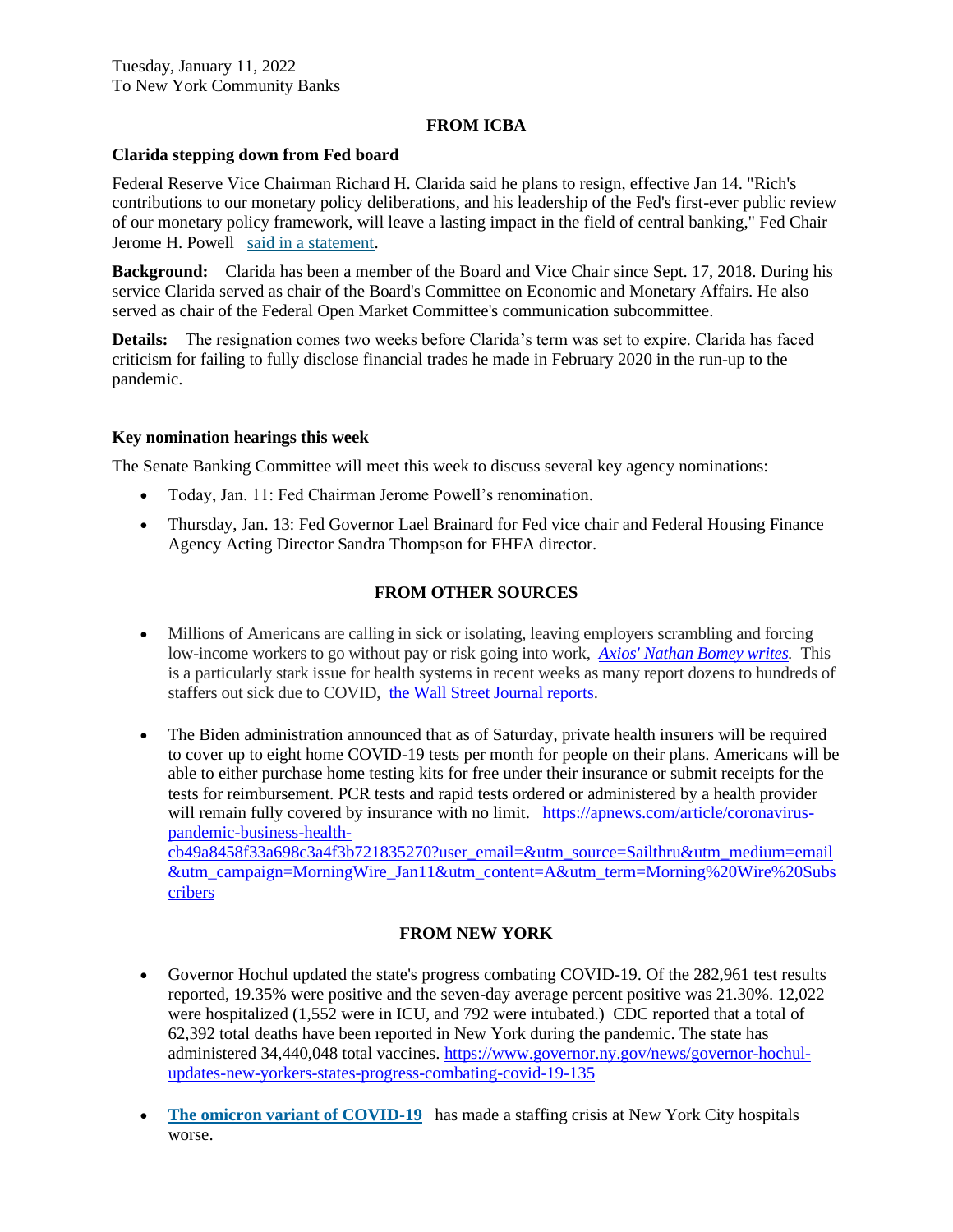## **FROM ICBA**

## **Clarida stepping down from Fed board**

Federal Reserve Vice Chairman Richard H. Clarida said he plans to resign, effective Jan 14. "Rich's contributions to our monetary policy deliberations, and his leadership of the Fed's first-ever public review of our monetary policy framework, will leave a lasting impact in the field of central banking," Fed Chair Jerome H. Powell [said in a statement.](https://email.icba.org/e3t/Btc/ZS+113/cBPxD04/VXgdF04yW5jLW5mbQYK4zxlHBW4sKGqD4D97QwN7nzPw39kJWfV7Wycr7CgYx6W3CXW_n2c4WTnVnBLzJ5fTK7jW1xSp6T98MKtyW3T0x242lWqGlW7bsnsW6GXw3dW1R747F1dtpWXW71zsjX4hCtH_W4bCr3-4h70WVW2sRzyK28-8V_W6q9Xhp2ZHwmTW1fpZDh8dxB3zW6lhnW36kbLqhW7tklNW8qShdBVntjG_7Q2GH4W8HXt7c6QljQzW8vd0JT7rV_XgW9lYf5l7CfDlMN7rbYSTZ4b86W9gSmDl4x6S88W7HPybM7TzSwWW4xNv_S2_Rz0VW8DDkKs72pW0QW7f2wC-2LSSxzW7crrBk8d-zrjW2GyZcz33C3t1W8XJ0qg8pnGbyW8m8ZLz1c0DJ6N2Vv2_1kxxfRW7KzsWX2l5JWNW354Qhq21Wp1LV2JMJK1K4fp8W82myNc3GCNM4W5MQ7-S8vYHWXW5fskgP1nv1M2Vr2x0S1RB_hMW8cQJgx2VVTXWW2sttRQ7kzpLZW2Vm48p2BXJNcN8gkLZpRc6hGW6N7nQb7CFQGkW95cN5Y6LpgnHVCcH-R5SgHZ0W6kDvHH3j4k6HW4V6QD8599WmGW7FH9fy4vDvrSW2hBZf17px9plW6NLLBG3SV0HcW5JJWn22pX63ZW6Tb2l293fQQSW2cC85C2H7qYJW3931H28sV2vPW7F04ZW2N-Tf_W27GC123ctWq8W7JQycz5QGnbcVfbTHm6Hl5wBW5ncZ4L2BDsG8W4j7JPT7fSvMbW9dpP7c3KnXqZW16_LJy7msLYkW1jMz1K8SgLn-W588PDc9d52ZCW3Yp5kL2yWq2RW26kSK48_dX6JW6L2Kdq7dsG8yW7Tnnzd3HJTnxW5vhr746qm2CTW7F7s9S3gDbMWW8XJ48h7Gh_75VbhnPh91-J1_W4yjnl66MrXtmW2TKqMb5lbX7fVhswFh5Mjjnk3p1J1)

**Background:** Clarida has been a member of the Board and Vice Chair since Sept. 17, 2018. During his service Clarida served as chair of the Board's Committee on Economic and Monetary Affairs. He also served as chair of the Federal Open Market Committee's communication subcommittee.

**Details:** The resignation comes two weeks before Clarida's term was set to expire. Clarida has faced criticism for failing to fully disclose financial trades he made in February 2020 in the run-up to the pandemic.

#### **Key nomination hearings this week**

The Senate Banking Committee will meet this week to discuss several key agency nominations:

- Today, Jan. 11: Fed Chairman Jerome Powell's renomination.
- Thursday, Jan. 13: Fed Governor Lael Brainard for Fed vice chair and Federal Housing Finance Agency Acting Director Sandra Thompson for FHFA director.

# **FROM OTHER SOURCES**

- Millions of Americans are calling in sick or isolating, leaving employers scrambling and forcing low-income workers to go without pay or risk going into work, *Axios' [Nathan](https://link.axios.com/click/26325960.28905/aHR0cHM6Ly93d3cuYXhpb3MuY29tL2VtcGxveWVycy13b3JrZXJzLXNpY2stbGVhdmUtcGFuZGVtaWMtNmE3MjRhZTItOTRjNC00MDU3LTkwNWMtNmRhZDljOTU5NTRiLmh0bWw_dXRtX3NvdXJjZT1uZXdzbGV0dGVyJnV0bV9tZWRpdW09ZW1haWwmdXRtX2NhbXBhaWduPW5ld3NsZXR0ZXJfYXhpb3N2aXRhbHMmc3RyZWFtPXRvcA/587da0d5e9a8a26b698b4568B3933d9e8) Bomey writes.* This is a particularly stark issue for health systems in recent weeks as many report dozens to hundreds of staffers out sick due to COVID, the Wall Street Journal [reports.](https://link.axios.com/click/26325960.28905/aHR0cHM6Ly93d3cud3NqLmNvbS9hcnRpY2xlcy9ob3NwaXRhbHMtY3V0LWJlZHMtYXMtbnVyc2VzLWNhbGwtaW4tc2ljay13aXRoLWNvdmlkLTE5LTExNjQxODEwNzgxP3V0bV9zb3VyY2U9bmV3c2xldHRlciZ1dG1fbWVkaXVtPWVtYWlsJnV0bV9jYW1wYWlnbj1uZXdzbGV0dGVyX2F4aW9zdml0YWxzJnN0cmVhbT10b3A/587da0d5e9a8a26b698b4568B58662ad2)
- The Biden administration announced that as of Saturday, private health insurers will be required to cover up to eight home COVID-19 tests per month for people on their plans. Americans will be able to either purchase home testing kits for free under their insurance or submit receipts for the tests for reimbursement. PCR tests and rapid tests ordered or administered by a health provider will remain fully covered by insurance with no limit. [https://apnews.com/article/coronavirus](https://apnews.com/article/coronavirus-pandemic-business-health-cb49a8458f33a698c3a4f3b721835270?user_email=&utm_source=Sailthru&utm_medium=email&utm_campaign=MorningWire_Jan11&utm_content=A&utm_term=Morning%20Wire%20Subscribers)[pandemic-business-health](https://apnews.com/article/coronavirus-pandemic-business-health-cb49a8458f33a698c3a4f3b721835270?user_email=&utm_source=Sailthru&utm_medium=email&utm_campaign=MorningWire_Jan11&utm_content=A&utm_term=Morning%20Wire%20Subscribers)[cb49a8458f33a698c3a4f3b721835270?user\\_email=&utm\\_source=Sailthru&utm\\_medium=email](https://apnews.com/article/coronavirus-pandemic-business-health-cb49a8458f33a698c3a4f3b721835270?user_email=&utm_source=Sailthru&utm_medium=email&utm_campaign=MorningWire_Jan11&utm_content=A&utm_term=Morning%20Wire%20Subscribers) [&utm\\_campaign=MorningWire\\_Jan11&utm\\_content=A&utm\\_term=Morning%20Wire%20Subs](https://apnews.com/article/coronavirus-pandemic-business-health-cb49a8458f33a698c3a4f3b721835270?user_email=&utm_source=Sailthru&utm_medium=email&utm_campaign=MorningWire_Jan11&utm_content=A&utm_term=Morning%20Wire%20Subscribers) [cribers](https://apnews.com/article/coronavirus-pandemic-business-health-cb49a8458f33a698c3a4f3b721835270?user_email=&utm_source=Sailthru&utm_medium=email&utm_campaign=MorningWire_Jan11&utm_content=A&utm_term=Morning%20Wire%20Subscribers)

## **FROM NEW YORK**

- Governor Hochul updated the state's progress combating COVID-19. Of the 282,961 test results reported, 19.35% were positive and the seven-day average percent positive was 21.30%. 12,022 were hospitalized (1,552 were in ICU, and 792 were intubated.) CDC reported that a total of 62,392 total deaths have been reported in New York during the pandemic. The state has administered 34,440,048 total vaccines. [https://www.governor.ny.gov/news/governor-hochul](https://www.governor.ny.gov/news/governor-hochul-updates-new-yorkers-states-progress-combating-covid-19-135)[updates-new-yorkers-states-progress-combating-covid-19-135](https://www.governor.ny.gov/news/governor-hochul-updates-new-yorkers-states-progress-combating-covid-19-135)
- **[The omicron variant of COVID-19](https://capitaltonight.us4.list-manage.com/track/click?u=7ca6c0f553bd2f7639d0a422a&id=b98b876890&e=ab1f5e230c)** has made a staffing crisis at New York City hospitals worse.